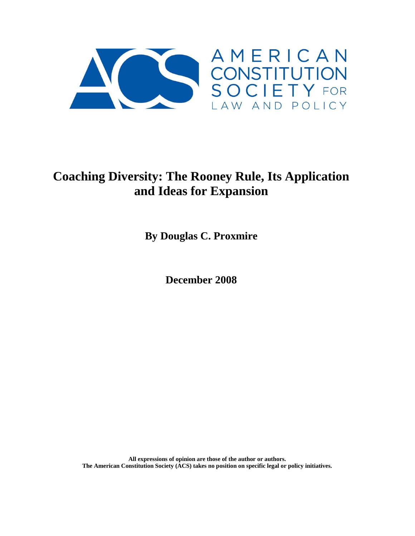

# **Coaching Diversity: The Rooney Rule, Its Application and Ideas for Expansion**

**By Douglas C. Proxmire** 

**December 2008**

**All expressions of opinion are those of the author or authors. The American Constitution Society (ACS) takes no position on specific legal or policy initiatives.**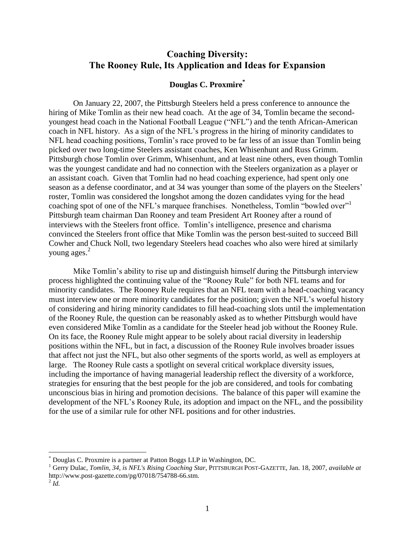# **Coaching Diversity: The Rooney Rule, Its Application and Ideas for Expansion**

# **Douglas C. Proxmire\***

On January 22, 2007, the Pittsburgh Steelers held a press conference to announce the hiring of Mike Tomlin as their new head coach. At the age of 34, Tomlin became the secondyoungest head coach in the National Football League ("NFL") and the tenth African-American coach in NFL history. As a sign of the NFL's progress in the hiring of minority candidates to NFL head coaching positions, Tomlin's race proved to be far less of an issue than Tomlin being picked over two long-time Steelers assistant coaches, Ken Whisenhunt and Russ Grimm. Pittsburgh chose Tomlin over Grimm, Whisenhunt, and at least nine others, even though Tomlin was the youngest candidate and had no connection with the Steelers organization as a player or an assistant coach. Given that Tomlin had no head coaching experience, had spent only one season as a defense coordinator, and at 34 was younger than some of the players on the Steelers' roster, Tomlin was considered the longshot among the dozen candidates vying for the head coaching spot of one of the NFL's marquee franchises. Nonetheless, Tomlin "bowled over"<sup>1</sup> Pittsburgh team chairman Dan Rooney and team President Art Rooney after a round of interviews with the Steelers front office. Tomlin's intelligence, presence and charisma convinced the Steelers front office that Mike Tomlin was the person best-suited to succeed Bill Cowher and Chuck Noll, two legendary Steelers head coaches who also were hired at similarly young ages. 2

Mike Tomlin's ability to rise up and distinguish himself during the Pittsburgh interview process highlighted the continuing value of the "Rooney Rule" for both NFL teams and for minority candidates. The Rooney Rule requires that an NFL team with a head-coaching vacancy must interview one or more minority candidates for the position; given the NFL's woeful history of considering and hiring minority candidates to fill head-coaching slots until the implementation of the Rooney Rule, the question can be reasonably asked as to whether Pittsburgh would have even considered Mike Tomlin as a candidate for the Steeler head job without the Rooney Rule. On its face, the Rooney Rule might appear to be solely about racial diversity in leadership positions within the NFL, but in fact, a discussion of the Rooney Rule involves broader issues that affect not just the NFL, but also other segments of the sports world, as well as employers at large. The Rooney Rule casts a spotlight on several critical workplace diversity issues, including the importance of having managerial leadership reflect the diversity of a workforce, strategies for ensuring that the best people for the job are considered, and tools for combating unconscious bias in hiring and promotion decisions. The balance of this paper will examine the development of the NFL's Rooney Rule, its adoption and impact on the NFL, and the possibility for the use of a similar rule for other NFL positions and for other industries.

<sup>\*</sup> Douglas C. Proxmire is a partner at Patton Boggs LLP in Washington, DC.

<sup>1</sup> Gerry Dulac, *Tomlin, 34, is NFL's Rising Coaching Star,* PITTSBURGH POST-GAZETTE, Jan. 18, 2007, *available at*  http://www.post-gazette.com/pg/07018/754788-66.stm.

 $^2$  *Id.*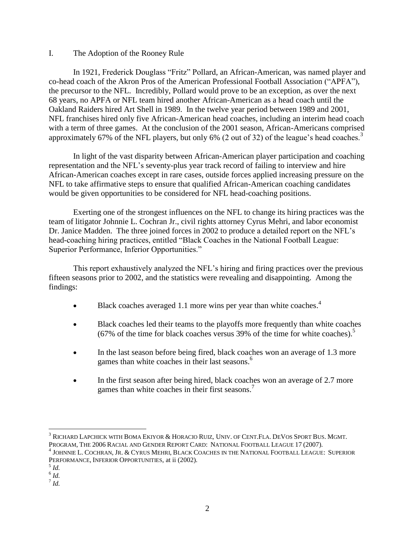#### I. The Adoption of the Rooney Rule

In 1921, Frederick Douglass "Fritz" Pollard, an African-American, was named player and co-head coach of the Akron Pros of the American Professional Football Association ("APFA"), the precursor to the NFL. Incredibly, Pollard would prove to be an exception, as over the next 68 years, no APFA or NFL team hired another African-American as a head coach until the Oakland Raiders hired Art Shell in 1989. In the twelve year period between 1989 and 2001, NFL franchises hired only five African-American head coaches, including an interim head coach with a term of three games. At the conclusion of the 2001 season, African-Americans comprised approximately 67% of the NFL players, but only 6% (2 out of 32) of the league's head coaches.<sup>3</sup>

In light of the vast disparity between African-American player participation and coaching representation and the NFL's seventy-plus year track record of failing to interview and hire African-American coaches except in rare cases, outside forces applied increasing pressure on the NFL to take affirmative steps to ensure that qualified African-American coaching candidates would be given opportunities to be considered for NFL head-coaching positions.

Exerting one of the strongest influences on the NFL to change its hiring practices was the team of litigator Johnnie L. Cochran Jr., civil rights attorney Cyrus Mehri, and labor economist Dr. Janice Madden. The three joined forces in 2002 to produce a detailed report on the NFL's head-coaching hiring practices, entitled "Black Coaches in the National Football League: Superior Performance, Inferior Opportunities."

This report exhaustively analyzed the NFL's hiring and firing practices over the previous fifteen seasons prior to 2002, and the statistics were revealing and disappointing. Among the findings:

- $\bullet$  Black coaches averaged 1.1 more wins per year than white coaches.<sup>4</sup>
- Black coaches led their teams to the playoffs more frequently than white coaches (67% of the time for black coaches versus 39% of the time for white coaches). 5
- In the last season before being fired, black coaches won an average of 1.3 more games than white coaches in their last seasons.<sup>6</sup>
- In the first season after being hired, black coaches won an average of 2.7 more games than white coaches in their first seasons.<sup>7</sup>

 $\overline{a}$ <sup>3</sup> RICHARD LAPCHICK WITH BOMA EKIYOR & HORACIO RUIZ, UNIV. OF CENT.FLA. DEVOS SPORT BUS. MGMT. PROGRAM, THE 2006 RACIAL AND GENDER REPORT CARD: NATIONAL FOOTBALL LEAGUE 17 (2007).

<sup>4</sup> JOHNNIE L. COCHRAN, JR. & CYRUS MEHRI, BLACK COACHES IN THE NATIONAL FOOTBALL LEAGUE: SUPERIOR PERFORMANCE, INFERIOR OPPORTUNITIES, at ii (2002).

<sup>5</sup> *Id.*

<sup>6</sup> *Id.*

<sup>7</sup> *Id.*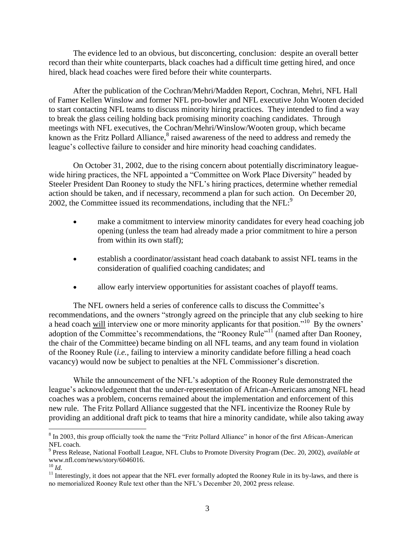The evidence led to an obvious, but disconcerting, conclusion: despite an overall better record than their white counterparts, black coaches had a difficult time getting hired, and once hired, black head coaches were fired before their white counterparts.

After the publication of the Cochran/Mehri/Madden Report, Cochran, Mehri, NFL Hall of Famer Kellen Winslow and former NFL pro-bowler and NFL executive John Wooten decided to start contacting NFL teams to discuss minority hiring practices. They intended to find a way to break the glass ceiling holding back promising minority coaching candidates. Through meetings with NFL executives, the Cochran/Mehri/Winslow/Wooten group, which became known as the Fritz Pollard Alliance,<sup>8</sup> raised awareness of the need to address and remedy the league's collective failure to consider and hire minority head coaching candidates.

On October 31, 2002, due to the rising concern about potentially discriminatory leaguewide hiring practices, the NFL appointed a "Committee on Work Place Diversity" headed by Steeler President Dan Rooney to study the NFL's hiring practices, determine whether remedial action should be taken, and if necessary, recommend a plan for such action. On December 20, 2002, the Committee issued its recommendations, including that the  $NFL:^{9}$ 

- make a commitment to interview minority candidates for every head coaching job opening (unless the team had already made a prior commitment to hire a person from within its own staff);
- establish a coordinator/assistant head coach databank to assist NFL teams in the consideration of qualified coaching candidates; and
- allow early interview opportunities for assistant coaches of playoff teams.

The NFL owners held a series of conference calls to discuss the Committee's recommendations, and the owners "strongly agreed on the principle that any club seeking to hire a head coach will interview one or more minority applicants for that position."<sup>10</sup> By the owners' adoption of the Committee's recommendations, the "Rooney Rule"<sup>11</sup> (named after Dan Rooney, the chair of the Committee) became binding on all NFL teams, and any team found in violation of the Rooney Rule (*i.e.,* failing to interview a minority candidate before filling a head coach vacancy) would now be subject to penalties at the NFL Commissioner's discretion.

While the announcement of the NFL's adoption of the Rooney Rule demonstrated the league's acknowledgement that the under-representation of African-Americans among NFL head coaches was a problem, concerns remained about the implementation and enforcement of this new rule. The Fritz Pollard Alliance suggested that the NFL incentivize the Rooney Rule by providing an additional draft pick to teams that hire a minority candidate, while also taking away

 $\overline{a}$  $8 \text{ In } 2003$ , this group officially took the name the "Fritz Pollard Alliance" in honor of the first African-American NFL coach.

<sup>9</sup> Press Release, National Football League, NFL Clubs to Promote Diversity Program (Dec. 20, 2002), *available at* www.nfl.com/news/story/6046016.

<sup>10</sup> *Id.*

<sup>&</sup>lt;sup>11</sup> Interestingly, it does not appear that the NFL ever formally adopted the Rooney Rule in its by-laws, and there is no memorialized Rooney Rule text other than the NFL's December 20, 2002 press release.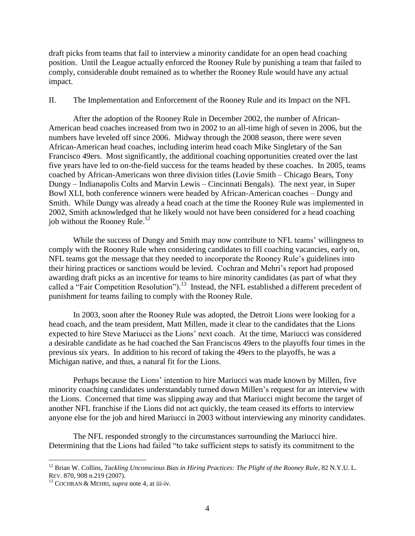draft picks from teams that fail to interview a minority candidate for an open head coaching position. Until the League actually enforced the Rooney Rule by punishing a team that failed to comply, considerable doubt remained as to whether the Rooney Rule would have any actual impact.

#### II. The Implementation and Enforcement of the Rooney Rule and its Impact on the NFL

After the adoption of the Rooney Rule in December 2002, the number of African-American head coaches increased from two in 2002 to an all-time high of seven in 2006, but the numbers have leveled off since 2006. Midway through the 2008 season, there were seven African-American head coaches, including interim head coach Mike Singletary of the San Francisco 49ers. Most significantly, the additional coaching opportunities created over the last five years have led to on-the-field success for the teams headed by these coaches. In 2005, teams coached by African-Americans won three division titles (Lovie Smith – Chicago Bears, Tony Dungy – Indianapolis Colts and Marvin Lewis – Cincinnati Bengals). The next year, in Super Bowl XLI, both conference winners were headed by African-American coaches – Dungy and Smith. While Dungy was already a head coach at the time the Rooney Rule was implemented in 2002, Smith acknowledged that he likely would not have been considered for a head coaching job without the Rooney Rule.<sup>12</sup>

While the success of Dungy and Smith may now contribute to NFL teams' willingness to comply with the Rooney Rule when considering candidates to fill coaching vacancies, early on, NFL teams got the message that they needed to incorporate the Rooney Rule's guidelines into their hiring practices or sanctions would be levied. Cochran and Mehri's report had proposed awarding draft picks as an incentive for teams to hire minority candidates (as part of what they called a "Fair Competition Resolution").<sup>13</sup> Instead, the NFL established a different precedent of punishment for teams failing to comply with the Rooney Rule.

In 2003, soon after the Rooney Rule was adopted, the Detroit Lions were looking for a head coach, and the team president, Matt Millen, made it clear to the candidates that the Lions expected to hire Steve Mariucci as the Lions' next coach. At the time, Mariucci was considered a desirable candidate as he had coached the San Franciscos 49ers to the playoffs four times in the previous six years. In addition to his record of taking the 49ers to the playoffs, he was a Michigan native, and thus, a natural fit for the Lions.

Perhaps because the Lions' intention to hire Mariucci was made known by Millen, five minority coaching candidates understandably turned down Millen's request for an interview with the Lions. Concerned that time was slipping away and that Mariucci might become the target of another NFL franchise if the Lions did not act quickly, the team ceased its efforts to interview anyone else for the job and hired Mariucci in 2003 without interviewing any minority candidates.

The NFL responded strongly to the circumstances surrounding the Mariucci hire. Determining that the Lions had failed "to take sufficient steps to satisfy its commitment to the

<sup>&</sup>lt;sup>12</sup> Brian W. Collins, *Tackling Unconscious Bias in Hiring Practices: The Plight of the Rooney Rule*, 82 N.Y.U.L. REV. 870, 908 n.219 (2007).

<sup>13</sup> COCHRAN & MEHRI, *supra* note 4, at iii-iv.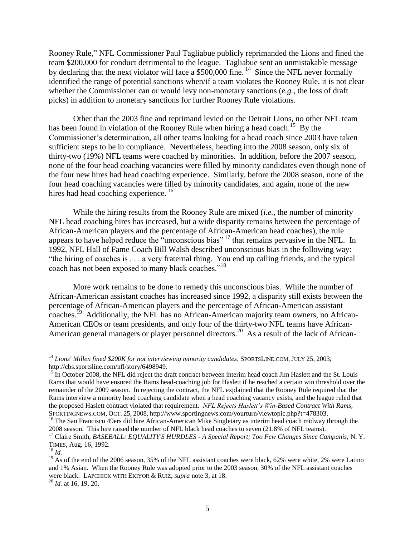Rooney Rule," NFL Commissioner Paul Tagliabue publicly reprimanded the Lions and fined the team \$200,000 for conduct detrimental to the league. Tagliabue sent an unmistakable message by declaring that the next violator will face a \$500,000 fine. <sup>14</sup> Since the NFL never formally identified the range of potential sanctions when/if a team violates the Rooney Rule, it is not clear whether the Commissioner can or would levy non-monetary sanctions (*e.g.,* the loss of draft picks) in addition to monetary sanctions for further Rooney Rule violations.

Other than the 2003 fine and reprimand levied on the Detroit Lions, no other NFL team has been found in violation of the Rooney Rule when hiring a head coach.<sup>15</sup> By the Commissioner's determination, all other teams looking for a head coach since 2003 have taken sufficient steps to be in compliance. Nevertheless, heading into the 2008 season, only six of thirty-two (19%) NFL teams were coached by minorities. In addition, before the 2007 season, none of the four head coaching vacancies were filled by minority candidates even though none of the four new hires had head coaching experience. Similarly, before the 2008 season, none of the four head coaching vacancies were filled by minority candidates, and again, none of the new hires had head coaching experience.<sup>16</sup>

While the hiring results from the Rooney Rule are mixed (*i.e.,* the number of minority NFL head coaching hires has increased, but a wide disparity remains between the percentage of African-American players and the percentage of African-American head coaches), the rule appears to have helped reduce the "unconscious bias" <sup>17</sup> that remains pervasive in the NFL. In 1992, NFL Hall of Fame Coach Bill Walsh described unconscious bias in the following way: "the hiring of coaches is . . . a very fraternal thing. You end up calling friends, and the typical coach has not been exposed to many black coaches."<sup>18</sup>

More work remains to be done to remedy this unconscious bias. While the number of African-American assistant coaches has increased since 1992, a disparity still exists between the percentage of African-American players and the percentage of African-American assistant coaches.<sup>19</sup> Additionally, the NFL has no African-American majority team owners, no African-American CEOs or team presidents, and only four of the thirty-two NFL teams have African-American general managers or player personnel directors.<sup>20</sup> As a result of the lack of African-

<sup>&</sup>lt;sup>14</sup> Lions' Millen fined \$200K for not interviewing minority candidates, SPORTSLINE.COM, JULY 25, 2003, http://cbs.sportsline.com/nfl/story/6498949.

 $15 \text{ In October 2008, the NFL did reject the draft contract between interim head coach Jim Haslett and the St. Louis$ Rams that would have ensured the Rams head-coaching job for Haslett if he reached a certain win threshold over the remainder of the 2009 season. In rejecting the contract, the NFL explained that the Rooney Rule required that the Rams interview a minority head coaching candidate when a head coaching vacancy exists, and the league ruled that the proposed Haslett contract violated that requirement. *NFL Rejects Haslett's Win-Based Contract With Rams,*  SPORTINGNEWS.COM, OCT. 25, 2008, http://www.sportingnews.com/yourturn/viewtopic.php?t=478303.

<sup>&</sup>lt;sup>16</sup> The San Francisco 49ers did hire African-American Mike Singletary as interim head coach midway through the 2008 season. This hire raised the number of NFL black head coaches to seven (21.8% of NFL teams).

<sup>17</sup> Claire Smith, *BASEBALL: EQUALITY'S HURDLES - A Special Report; Too Few Changes Since Campanis*, N. Y. TIMES, Aug. 16, 1992.

<sup>18</sup> *Id.*

 $19$  As of the end of the 2006 season, 35% of the NFL assistant coaches were black, 62% were white, 2% were Latino and 1% Asian. When the Rooney Rule was adopted prior to the 2003 season, 30% of the NFL assistant coaches were black. LAPCHICK WITH EKIYOR & RUIZ, *supra* note 3*,* at 18.

<sup>20</sup> *Id.* at 16, 19, 20.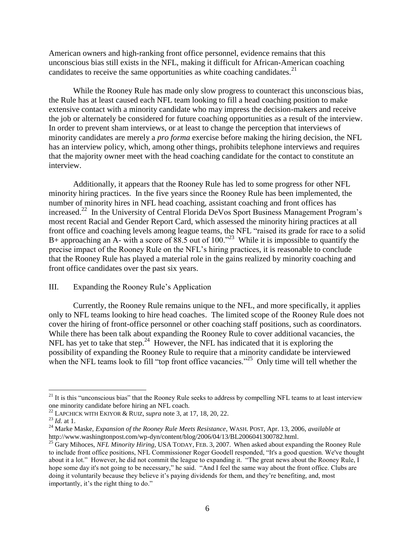American owners and high-ranking front office personnel, evidence remains that this unconscious bias still exists in the NFL, making it difficult for African-American coaching candidates to receive the same opportunities as white coaching candidates. $2<sup>1</sup>$ 

While the Rooney Rule has made only slow progress to counteract this unconscious bias, the Rule has at least caused each NFL team looking to fill a head coaching position to make extensive contact with a minority candidate who may impress the decision-makers and receive the job or alternately be considered for future coaching opportunities as a result of the interview. In order to prevent sham interviews, or at least to change the perception that interviews of minority candidates are merely a *pro forma* exercise before making the hiring decision, the NFL has an interview policy, which, among other things, prohibits telephone interviews and requires that the majority owner meet with the head coaching candidate for the contact to constitute an interview.

Additionally, it appears that the Rooney Rule has led to some progress for other NFL minority hiring practices. In the five years since the Rooney Rule has been implemented, the number of minority hires in NFL head coaching, assistant coaching and front offices has increased.<sup>22</sup> In the University of Central Florida DeVos Sport Business Management Program's most recent Racial and Gender Report Card, which assessed the minority hiring practices at all front office and coaching levels among league teams, the NFL "raised its grade for race to a solid B+ approaching an A- with a score of 88.5 out of 100.<sup> $23$ </sup> While it is impossible to quantify the precise impact of the Rooney Rule on the NFL's hiring practices, it is reasonable to conclude that the Rooney Rule has played a material role in the gains realized by minority coaching and front office candidates over the past six years.

## III. Expanding the Rooney Rule's Application

Currently, the Rooney Rule remains unique to the NFL, and more specifically, it applies only to NFL teams looking to hire head coaches. The limited scope of the Rooney Rule does not cover the hiring of front-office personnel or other coaching staff positions, such as coordinators. While there has been talk about expanding the Rooney Rule to cover additional vacancies, the NFL has yet to take that step.<sup>24</sup> However, the NFL has indicated that it is exploring the possibility of expanding the Rooney Rule to require that a minority candidate be interviewed when the NFL teams look to fill "top front office vacancies."<sup>25</sup> Only time will tell whether the

 $21$  It is this "unconscious bias" that the Rooney Rule seeks to address by compelling NFL teams to at least interview one minority candidate before hiring an NFL coach.

<sup>22</sup> LAPCHICK WITH EKIYOR & RUIZ, *supra* note 3, at 17, 18, 20, 22.

<sup>23</sup> *Id.* at 1.

<sup>24</sup> Marke Maske, *Expansion of the Rooney Rule Meets Resistance,* WASH. POST, Apr. 13, 2006, *available at*  http://www.washingtonpost.com/wp-dyn/content/blog/2006/04/13/BL2006041300782.html.

<sup>&</sup>lt;sup>25</sup> Gary Mihoces, *NFL Minority Hiring*, USA TODAY, FEB. 3, 2007. When asked about expanding the Rooney Rule to include front office positions, NFL Commissioner Roger Goodell responded, "It's a good question. We've thought about it a lot." However, he did not commit the league to expanding it. "The great news about the Rooney Rule, I hope some day it's not going to be necessary," he said. "And I feel the same way about the front office. Clubs are doing it voluntarily because they believe it's paying dividends for them, and they're benefiting, and, most importantly, it's the right thing to do."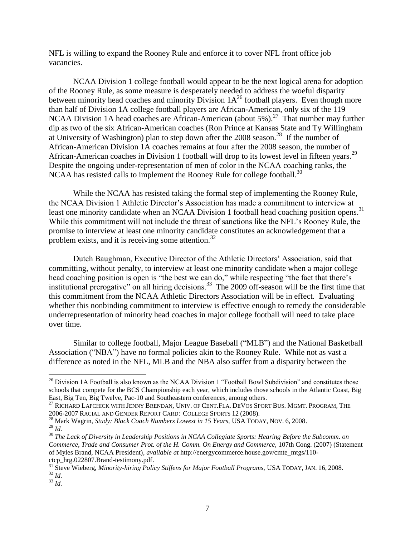NFL is willing to expand the Rooney Rule and enforce it to cover NFL front office job vacancies.

NCAA Division 1 college football would appear to be the next logical arena for adoption of the Rooney Rule, as some measure is desperately needed to address the woeful disparity between minority head coaches and minority Division  $1A^{26}$  football players. Even though more than half of Division 1A college football players are African-American, only six of the 119 NCAA Division 1A head coaches are African-American (about 5%).<sup>27</sup> That number may further dip as two of the six African-American coaches (Ron Prince at Kansas State and Ty Willingham at University of Washington) plan to step down after the 2008 season.<sup>28</sup> If the number of African-American Division 1A coaches remains at four after the 2008 season, the number of African-American coaches in Division 1 football will drop to its lowest level in fifteen years.<sup>29</sup> Despite the ongoing under-representation of men of color in the NCAA coaching ranks, the NCAA has resisted calls to implement the Rooney Rule for college football.<sup>30</sup>

While the NCAA has resisted taking the formal step of implementing the Rooney Rule, the NCAA Division 1 Athletic Director's Association has made a commitment to interview at least one minority candidate when an NCAA Division 1 football head coaching position opens.<sup>31</sup> While this commitment will not include the threat of sanctions like the NFL's Rooney Rule, the promise to interview at least one minority candidate constitutes an acknowledgement that a problem exists, and it is receiving some attention.<sup>32</sup>

Dutch Baughman, Executive Director of the Athletic Directors' Association, said that committing, without penalty, to interview at least one minority candidate when a major college head coaching position is open is "the best we can do," while respecting "the fact that there's institutional prerogative" on all hiring decisions.<sup>33</sup> The 2009 off-season will be the first time that this commitment from the NCAA Athletic Directors Association will be in effect. Evaluating whether this nonbinding commitment to interview is effective enough to remedy the considerable underrepresentation of minority head coaches in major college football will need to take place over time.

Similar to college football, Major League Baseball ("MLB") and the National Basketball Association ("NBA") have no formal policies akin to the Rooney Rule. While not as vast a difference as noted in the NFL, MLB and the NBA also suffer from a disparity between the

<sup>&</sup>lt;sup>26</sup> Division 1A Football is also known as the NCAA Division 1 "Football Bowl Subdivision" and constitutes those schools that compete for the BCS Championship each year, which includes those schools in the Atlantic Coast, Big East, Big Ten, Big Twelve, Pac-10 and Southeastern conferences, among others.

 $^{27}$  RICHARD LAPCHICK WITH JENNY BRENDAN, UNIV. OF CENT.FLA. DEVOS SPORT BUS. MGMT. PROGRAM, THE 2006-2007 RACIAL AND GENDER REPORT CARD: COLLEGE SPORTS 12 (2008).

<sup>28</sup> Mark Wagrin, *Study: Black Coach Numbers Lowest in 15 Years,* USA TODAY, NOV. 6, 2008.

<sup>29</sup> *Id.*

<sup>30</sup> *The Lack of Diversity in Leadership Positions in NCAA Collegiate Sports: Hearing Before the Subcomm. on Commerce, Trade and Consumer Prot. of the H. Comm. On Energy and Commerce,* 107th Cong. (2007) (Statement of Myles Brand, NCAA President), *available at* http://energycommerce.house.gov/cmte\_mtgs/110 ctcp\_hrg.022807.Brand-testimony.pdf.

<sup>&</sup>lt;sup>31</sup> Steve Wieberg, *Minority-hiring Policy Stiffens for Major Football Programs, USA TODAY, JAN. 16, 2008.* <sup>32</sup> *Id.*

<sup>33</sup> *Id.*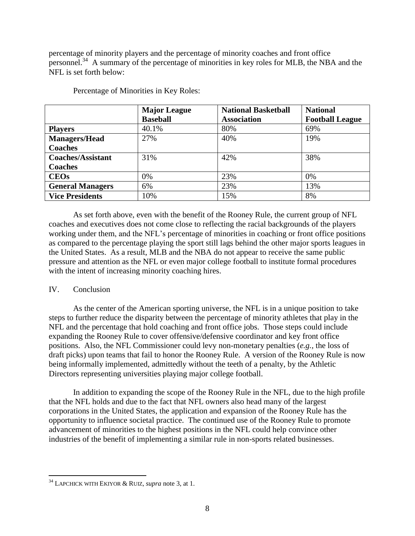percentage of minority players and the percentage of minority coaches and front office personnel.<sup>34</sup> A summary of the percentage of minorities in key roles for MLB, the NBA and the NFL is set forth below:

|                          | <b>Major League</b><br><b>Baseball</b> | <b>National Basketball</b><br><b>Association</b> | <b>National</b><br><b>Football League</b> |
|--------------------------|----------------------------------------|--------------------------------------------------|-------------------------------------------|
| <b>Players</b>           | 40.1%                                  | 80%                                              | 69%                                       |
| <b>Managers/Head</b>     | 27%                                    | 40%                                              | 19%                                       |
| <b>Coaches</b>           |                                        |                                                  |                                           |
| <b>Coaches/Assistant</b> | 31%                                    | 42%                                              | 38%                                       |
| <b>Coaches</b>           |                                        |                                                  |                                           |
| <b>CEOs</b>              | 0%                                     | 23%                                              | 0%                                        |
| <b>General Managers</b>  | 6%                                     | 23%                                              | 13%                                       |
| <b>Vice Presidents</b>   | 10%                                    | 15%                                              | 8%                                        |

Percentage of Minorities in Key Roles:

As set forth above, even with the benefit of the Rooney Rule, the current group of NFL coaches and executives does not come close to reflecting the racial backgrounds of the players working under them, and the NFL's percentage of minorities in coaching or front office positions as compared to the percentage playing the sport still lags behind the other major sports leagues in the United States. As a result, MLB and the NBA do not appear to receive the same public pressure and attention as the NFL or even major college football to institute formal procedures with the intent of increasing minority coaching hires.

## IV. Conclusion

 $\overline{a}$ 

As the center of the American sporting universe, the NFL is in a unique position to take steps to further reduce the disparity between the percentage of minority athletes that play in the NFL and the percentage that hold coaching and front office jobs. Those steps could include expanding the Rooney Rule to cover offensive/defensive coordinator and key front office positions. Also, the NFL Commissioner could levy non-monetary penalties (*e.g.,* the loss of draft picks) upon teams that fail to honor the Rooney Rule. A version of the Rooney Rule is now being informally implemented, admittedly without the teeth of a penalty, by the Athletic Directors representing universities playing major college football.

In addition to expanding the scope of the Rooney Rule in the NFL, due to the high profile that the NFL holds and due to the fact that NFL owners also head many of the largest corporations in the United States, the application and expansion of the Rooney Rule has the opportunity to influence societal practice. The continued use of the Rooney Rule to promote advancement of minorities to the highest positions in the NFL could help convince other industries of the benefit of implementing a similar rule in non-sports related businesses.

<sup>34</sup> LAPCHICK WITH EKIYOR & RUIZ, *supra* note 3, at 1.